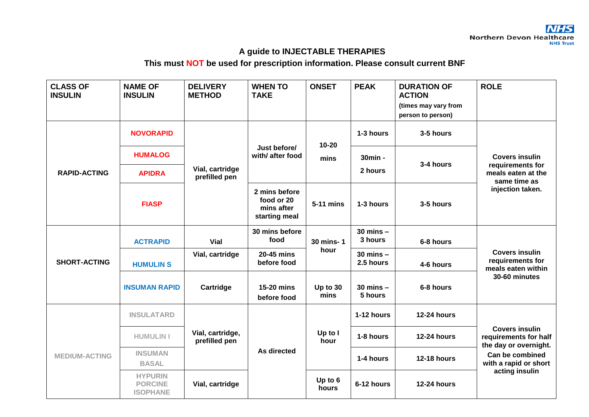## **A guide to INJECTABLE THERAPIES**

## **This must NOT be used for prescription information. Please consult current BNF**

| <b>CLASS OF</b><br><b>INSULIN</b> | <b>NAME OF</b><br><b>INSULIN</b>                    | <b>DELIVERY</b><br><b>METHOD</b>  | <b>WHEN TO</b><br><b>TAKE</b>                              | <b>ONSET</b>      | <b>PEAK</b>                | <b>DURATION OF</b><br><b>ACTION</b><br>(times may vary from<br>person to person) | <b>ROLE</b>                                                                                                                           |
|-----------------------------------|-----------------------------------------------------|-----------------------------------|------------------------------------------------------------|-------------------|----------------------------|----------------------------------------------------------------------------------|---------------------------------------------------------------------------------------------------------------------------------------|
| <b>RAPID-ACTING</b>               | <b>NOVORAPID</b>                                    | Vial, cartridge<br>prefilled pen  | Just before/<br>with/ after food                           | $10 - 20$<br>mins | 1-3 hours                  | 3-5 hours                                                                        | <b>Covers insulin</b><br>requirements for<br>meals eaten at the<br>same time as<br>injection taken.                                   |
|                                   | <b>HUMALOG</b>                                      |                                   |                                                            |                   | 30min -                    | 3-4 hours                                                                        |                                                                                                                                       |
|                                   | <b>APIDRA</b>                                       |                                   |                                                            |                   | 2 hours                    |                                                                                  |                                                                                                                                       |
|                                   | <b>FIASP</b>                                        |                                   | 2 mins before<br>food or 20<br>mins after<br>starting meal | 5-11 mins         | 1-3 hours                  | 3-5 hours                                                                        |                                                                                                                                       |
| <b>SHORT-ACTING</b>               | <b>ACTRAPID</b>                                     | Vial                              | 30 mins before<br>food                                     | 30 mins-1<br>hour | $30$ mins $-$<br>3 hours   | 6-8 hours                                                                        | <b>Covers insulin</b><br>requirements for<br>meals eaten within<br>30-60 minutes                                                      |
|                                   | <b>HUMULIN S</b>                                    | Vial, cartridge                   | 20-45 mins<br>before food                                  |                   | $30$ mins $-$<br>2.5 hours | 4-6 hours                                                                        |                                                                                                                                       |
|                                   | <b>INSUMAN RAPID</b>                                | Cartridge                         | 15-20 mins<br>before food                                  | Up to 30<br>mins  | $30$ mins $-$<br>5 hours   | 6-8 hours                                                                        |                                                                                                                                       |
|                                   | <b>INSULATARD</b>                                   |                                   |                                                            |                   | 1-12 hours                 | <b>12-24 hours</b>                                                               |                                                                                                                                       |
| <b>MEDIUM-ACTING</b>              | <b>HUMULIN I</b>                                    | Vial, cartridge,<br>prefilled pen | As directed                                                | Up to I<br>hour   | 1-8 hours                  | <b>12-24 hours</b>                                                               | <b>Covers insulin</b><br>requirements for half<br>the day or overnight.<br>Can be combined<br>with a rapid or short<br>acting insulin |
|                                   | <b>INSUMAN</b><br><b>BASAL</b>                      |                                   |                                                            |                   | 1-4 hours                  | <b>12-18 hours</b>                                                               |                                                                                                                                       |
|                                   | <b>HYPURIN</b><br><b>PORCINE</b><br><b>ISOPHANE</b> | Vial, cartridge                   |                                                            | Up to 6<br>hours  | 6-12 hours                 | <b>12-24 hours</b>                                                               |                                                                                                                                       |